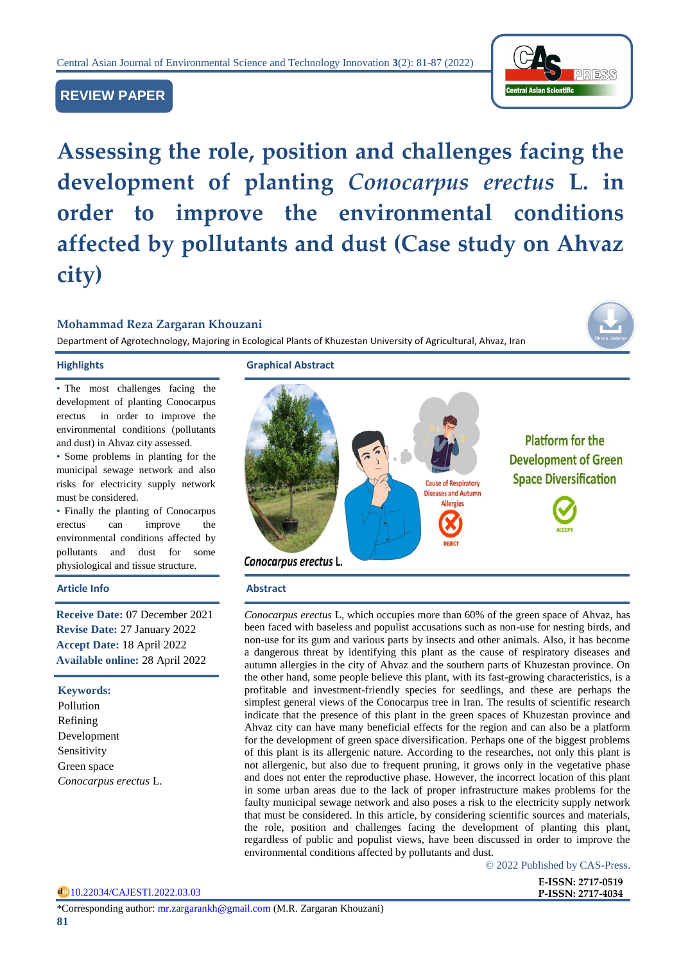

# **REVIEW PAPER**

**Assessing the role, position and challenges facing the development of planting** *Conocarpus erectus* **L. in order to improve the environmental conditions affected by pollutants and dust (Case study on Ahvaz city)**

# **Mohammad Reza Zargaran Khouzani**

Department of Agrotechnology, Majoring in Ecological Plants of Khuzestan University of Agricultural, Ahvaz, Iran

• The most challenges facing the development of planting Conocarpus erectus in order to improve the environmental conditions (pollutants and dust) in Ahvaz city assessed.

• Some problems in planting for the municipal sewage network and also risks for electricity supply network must be considered.

• Finally the planting of Conocarpus erectus can improve the environmental conditions affected by pollutants and dust for some physiological and tissue structure.

#### **Article Info Abstract**

**Receive Date:** 07 December 2021 **Revise Date:** 27 January 2022 **Accept Date:** 18 April 2022 **Available online:** 28 April 2022

### **Keywords:**

Pollution Refining Development Sensitivity Green space *Conocarpus erectus* L.

**Highlights Graphical Abstract**



*Conocarpus erectus* L, which occupies more than 60% of the green space of Ahvaz, has been faced with baseless and populist accusations such as non-use for nesting birds, and non-use for its gum and various parts by insects and other animals. Also, it has become a dangerous threat by identifying this plant as the cause of respiratory diseases and autumn allergies in the city of Ahvaz and the southern parts of Khuzestan province. On the other hand, some people believe this plant, with its fast-growing characteristics, is a profitable and investment-friendly species for seedlings, and these are perhaps the simplest general views of the Conocarpus tree in Iran. The results of scientific research indicate that the presence of this plant in the green spaces of Khuzestan province and Ahvaz city can have many beneficial effects for the region and can also be a platform for the development of green space diversification. Perhaps one of the biggest problems of this plant is its allergenic nature. According to the researches, not only this plant is not allergenic, but also due to frequent pruning, it grows only in the vegetative phase and does not enter the reproductive phase. However, the incorrect location of this plant in some urban areas due to the lack of proper infrastructure makes problems for the faulty municipal sewage network and also poses a risk to the electricity supply network that must be considered. In this article, by considering scientific sources and materials, the role, position and challenges facing the development of planting this plant, regardless of public and populist views, have been discussed in order to improve the environmental conditions affected by pollutants and dust.

© 2022 Published by CAS-Press.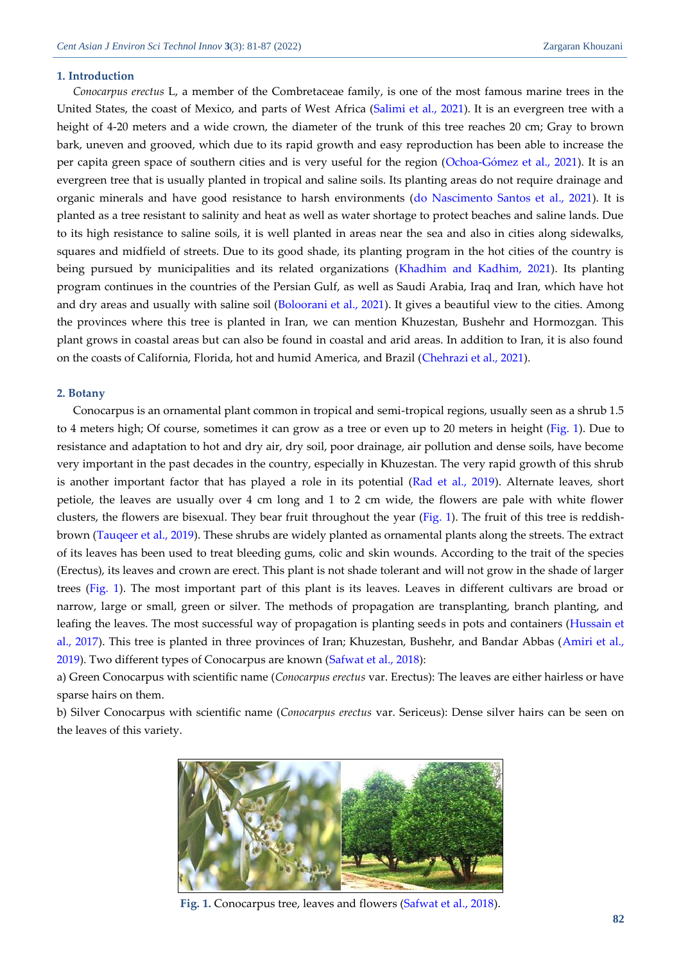#### **1. Introduction**

*Conocarpus erectus* L, a member of the Combretaceae family, is one of the most famous marine trees in the United States, the coast of Mexico, and parts of West Africa [\(Salimi et al., 2021\)](#page-6-0). It is an evergreen tree with a height of 4-20 meters and a wide crown, the diameter of the trunk of this tree reaches 20 cm; Gray to brown bark, uneven and grooved, which due to its rapid growth and easy reproduction has been able to increase the per capita green space of southern cities and is very useful for the region [\(Ochoa-Gómez et al., 2021\)](#page-5-0). It is an evergreen tree that is usually planted in tropical and saline soils. Its planting areas do not require drainage and organic minerals and have good resistance to harsh environments [\(do Nascimento Santos et al., 2021\)](#page-5-1). It is planted as a tree resistant to salinity and heat as well as water shortage to protect beaches and saline lands. Due to its high resistance to saline soils, it is well planted in areas near the sea and also in cities along sidewalks, squares and midfield of streets. Due to its good shade, its planting program in the hot cities of the country is being pursued by municipalities and its related organizations [\(Khadhim and Kadhim, 2021\)](#page-5-2). Its planting program continues in the countries of the Persian Gulf, as well as Saudi Arabia, Iraq and Iran, which have hot and dry areas and usually with saline soil [\(Boloorani et al., 2021\)](#page-5-3). It gives a beautiful view to the cities. Among the provinces where this tree is planted in Iran, we can mention Khuzestan, Bushehr and Hormozgan. This plant grows in coastal areas but can also be found in coastal and arid areas. In addition to Iran, it is also found on the coasts of California, Florida, hot and humid America, and Brazil [\(Chehrazi et al., 2021\)](#page-5-4).

### **2. Botany**

Conocarpus is an ornamental plant common in tropical and semi-tropical regions, usually seen as a shrub 1.5 to 4 meters high; Of course, sometimes it can grow as a tree or even up to 20 meters in height [\(Fig. 1\)](#page-1-0). Due to resistance and adaptation to hot and dry air, dry soil, poor drainage, air pollution and dense soils, have become very important in the past decades in the country, especially in Khuzestan. The very rapid growth of this shrub is another important factor that has played a role in its potential [\(Rad et al., 2019\)](#page-5-5). Alternate leaves, short petiole, the leaves are usually over 4 cm long and 1 to 2 cm wide, the flowers are pale with white flower clusters, the flowers are bisexual. They bear fruit throughout the year [\(Fig. 1\)](#page-1-0). The fruit of this tree is reddishbrown [\(Tauqeer et al., 2019\)](#page-6-1). These shrubs are widely planted as ornamental plants along the streets. The extract of its leaves has been used to treat bleeding gums, colic and skin wounds. According to the trait of the species (Erectus), its leaves and crown are erect. This plant is not shade tolerant and will not grow in the shade of larger trees [\(Fig. 1\)](#page-1-0). The most important part of this plant is its leaves. Leaves in different cultivars are broad or narrow, large or small, green or silver. The methods of propagation are transplanting, branch planting, and leafing the leaves. The most successful way of propagation is planting seeds in pots and containers [\(Hussain et](#page-5-6)  [al., 2017\)](#page-5-6). This tree is planted in three provinces of Iran; Khuzestan, Bushehr, and Bandar Abbas (Amiri et al., 2019). Two different types of Conocarpus are known [\(Safwat et al., 2018\)](#page-5-7):

a) Green Conocarpus with scientific name (*Conocarpus erectus* var. Erectus): The leaves are either hairless or have sparse hairs on them.

b) Silver Conocarpus with scientific name (*Conocarpus erectus* var. Sericeus): Dense silver hairs can be seen on the leaves of this variety.

<span id="page-1-0"></span>

**Fig. 1.** Conocarpus tree, leaves and flowers [\(Safwat et al., 2018\)](#page-5-7).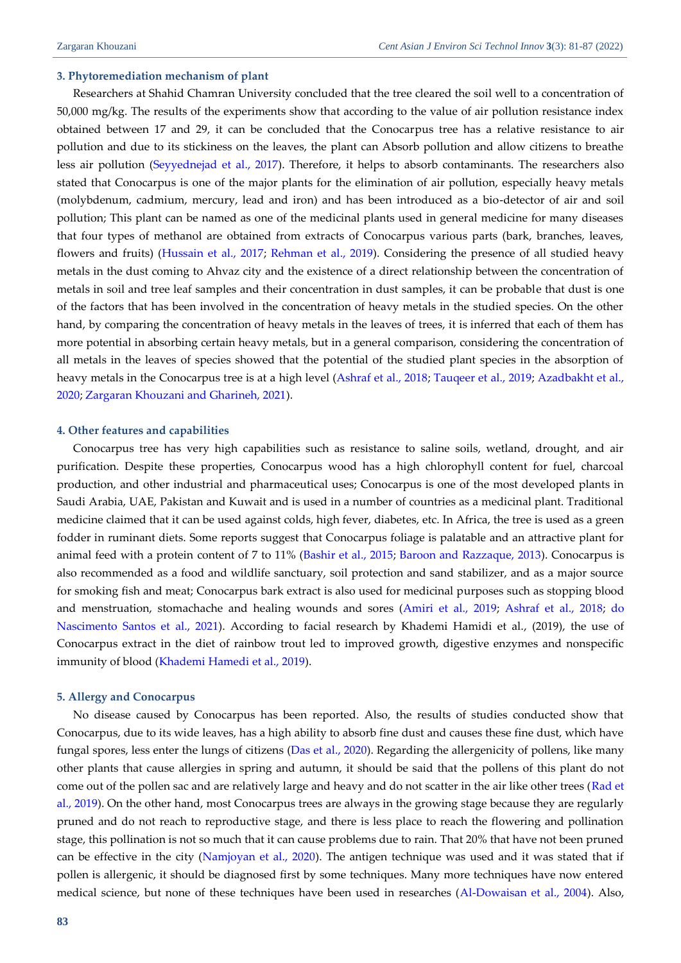#### **3. Phytoremediation mechanism of plant**

Researchers at Shahid Chamran University concluded that the tree cleared the soil well to a concentration of 50,000 mg/kg. The results of the experiments show that according to the value of air pollution resistance index obtained between 17 and 29, it can be concluded that the Conocarpus tree has a relative resistance to air pollution and due to its stickiness on the leaves, the plant can Absorb pollution and allow citizens to breathe less air pollution [\(Seyyednejad et al., 2017\)](#page-6-2). Therefore, it helps to absorb contaminants. The researchers also stated that Conocarpus is one of the major plants for the elimination of air pollution, especially heavy metals (molybdenum, cadmium, mercury, lead and iron) and has been introduced as a bio-detector of air and soil pollution; This plant can be named as one of the medicinal plants used in general medicine for many diseases that four types of methanol are obtained from extracts of Conocarpus various parts (bark, branches, leaves, flowers and fruits) [\(Hussain et al., 2017;](#page-5-6) [Rehman et al., 2019\)](#page-5-8). Considering the presence of all studied heavy metals in the dust coming to Ahvaz city and the existence of a direct relationship between the concentration of metals in soil and tree leaf samples and their concentration in dust samples, it can be probable that dust is one of the factors that has been involved in the concentration of heavy metals in the studied species. On the other hand, by comparing the concentration of heavy metals in the leaves of trees, it is inferred that each of them has more potential in absorbing certain heavy metals, but in a general comparison, considering the concentration of all metals in the leaves of species showed that the potential of the studied plant species in the absorption of heavy metals in the Conocarpus tree is at a high level [\(Ashraf et al., 2018;](#page-4-0) [Tauqeer et al., 2019;](#page-6-1) Azadbakht et al., 2020[; Zargaran Khouzani and Gharineh, 2021\)](#page-6-3).

### **4. Other features and capabilities**

Conocarpus tree has very high capabilities such as resistance to saline soils, wetland, drought, and air purification. Despite these properties, Conocarpus wood has a high chlorophyll content for fuel, charcoal production, and other industrial and pharmaceutical uses; Conocarpus is one of the most developed plants in Saudi Arabia, UAE, Pakistan and Kuwait and is used in a number of countries as a medicinal plant. Traditional medicine claimed that it can be used against colds, high fever, diabetes, etc. In Africa, the tree is used as a green fodder in ruminant diets. Some reports suggest that Conocarpus foliage is palatable and an attractive plant for animal feed with a protein content of 7 to 11% [\(Bashir et al., 2015;](#page-5-9) [Baroon and Razzaque, 2013\)](#page-5-10). Conocarpus is also recommended as a food and wildlife sanctuary, soil protection and sand stabilizer, and as a major source for smoking fish and meat; Conocarpus bark extract is also used for medicinal purposes such as stopping blood and menstruation, stomachache and healing wounds and sores [\(Amiri et al., 2019;](#page-4-1) [Ashraf et al., 2018;](#page-4-0) [do](#page-5-1)  [Nascimento Santos et al., 2021\)](#page-5-1). According to facial research by Khademi Hamidi et al., (2019), the use of Conocarpus extract in the diet of rainbow trout led to improved growth, digestive enzymes and nonspecific immunity of blood [\(Khademi Hamedi](#page-5-11) et al., 2019).

#### **5. Allergy and Conocarpus**

No disease caused by Conocarpus has been reported. Also, the results of studies conducted show that Conocarpus, due to its wide leaves, has a high ability to absorb fine dust and causes these fine dust, which have fungal spores, less enter the lungs of citizens [\(Das et al., 2020\)](#page-5-12). Regarding the allergenicity of pollens, like many other plants that cause allergies in spring and autumn, it should be said that the pollens of this plant do not come out of the pollen sac and are relatively large and heavy and do not scatter in the air like other trees [\(Rad et](#page-5-5)  [al., 2019\)](#page-5-5). On the other hand, most Conocarpus trees are always in the growing stage because they are regularly pruned and do not reach to reproductive stage, and there is less place to reach the flowering and pollination stage, this pollination is not so much that it can cause problems due to rain. That 20% that have not been pruned can be effective in the city [\(Namjoyan et al., 2020\)](#page-5-13). The antigen technique was used and it was stated that if pollen is allergenic, it should be diagnosed first by some techniques. Many more techniques have now entered medical science, but none of these techniques have been used in researches [\(Al-Dowaisan et al., 2004\)](#page-4-2). Also,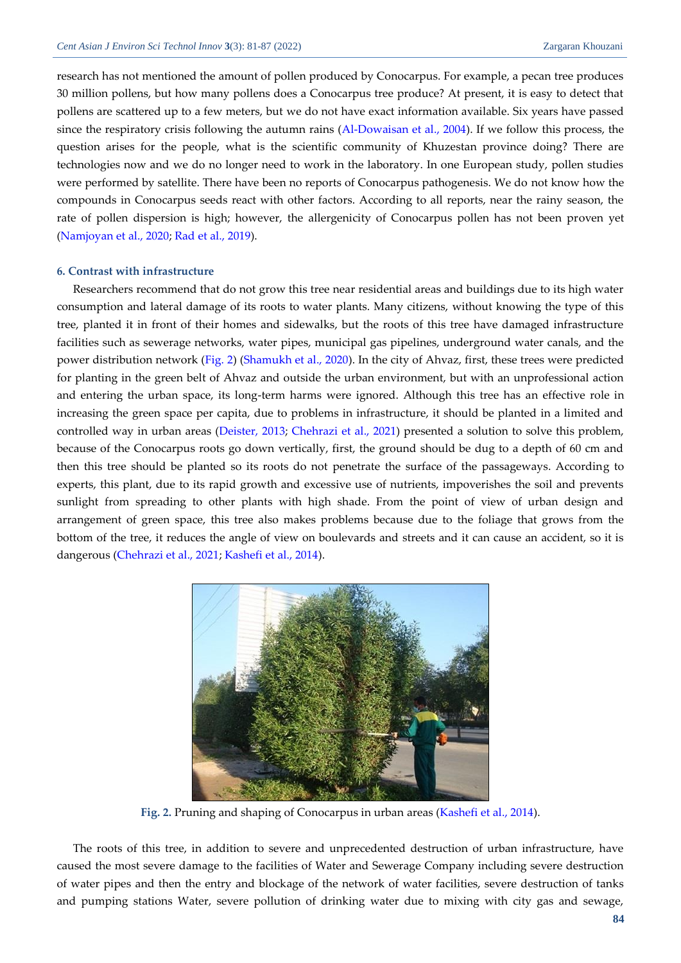research has not mentioned the amount of pollen produced by Conocarpus. For example, a pecan tree produces 30 million pollens, but how many pollens does a Conocarpus tree produce? At present, it is easy to detect that pollens are scattered up to a few meters, but we do not have exact information available. Six years have passed since the respiratory crisis following the autumn rains [\(Al-Dowaisan et al., 2004\)](#page-4-2). If we follow this process, the question arises for the people, what is the scientific community of Khuzestan province doing? There are technologies now and we do no longer need to work in the laboratory. In one European study, pollen studies were performed by satellite. There have been no reports of Conocarpus pathogenesis. We do not know how the compounds in Conocarpus seeds react with other factors. According to all reports, near the rainy season, the rate of pollen dispersion is high; however, the allergenicity of Conocarpus pollen has not been proven yet [\(Namjoyan et al., 2020;](#page-5-13) [Rad et al., 2019\)](#page-5-5).

# **6. Contrast with infrastructure**

Researchers recommend that do not grow this tree near residential areas and buildings due to its high water consumption and lateral damage of its roots to water plants. Many citizens, without knowing the type of this tree, planted it in front of their homes and sidewalks, but the roots of this tree have damaged infrastructure facilities such as sewerage networks, water pipes, municipal gas pipelines, underground water canals, and the power distribution network [\(Fig. 2\)](#page-3-0) [\(Shamukh et al., 2020\)](#page-6-4). In the city of Ahvaz, first, these trees were predicted for planting in the green belt of Ahvaz and outside the urban environment, but with an unprofessional action and entering the urban space, its long-term harms were ignored. Although this tree has an effective role in increasing the green space per capita, due to problems in infrastructure, it should be planted in a limited and controlled way in urban areas [\(Deister, 2013;](#page-5-14) [Chehrazi et al., 2021\)](#page-5-4) presented a solution to solve this problem, because of the Conocarpus roots go down vertically, first, the ground should be dug to a depth of 60 cm and then this tree should be planted so its roots do not penetrate the surface of the passageways. According to experts, this plant, due to its rapid growth and excessive use of nutrients, impoverishes the soil and prevents sunlight from spreading to other plants with high shade. From the point of view of urban design and arrangement of green space, this tree also makes problems because due to the foliage that grows from the bottom of the tree, it reduces the angle of view on boulevards and streets and it can cause an accident, so it is dangerous [\(Chehrazi et al., 2021;](#page-5-4) [Kashefi et al., 2014\)](#page-5-15).



**Fig. 2.** Pruning and shaping of Conocarpus in urban areas [\(Kashefi et al., 2014\)](#page-5-15).

<span id="page-3-0"></span>The roots of this tree, in addition to severe and unprecedented destruction of urban infrastructure, have caused the most severe damage to the facilities of Water and Sewerage Company including severe destruction of water pipes and then the entry and blockage of the network of water facilities, severe destruction of tanks and pumping stations Water, severe pollution of drinking water due to mixing with city gas and sewage,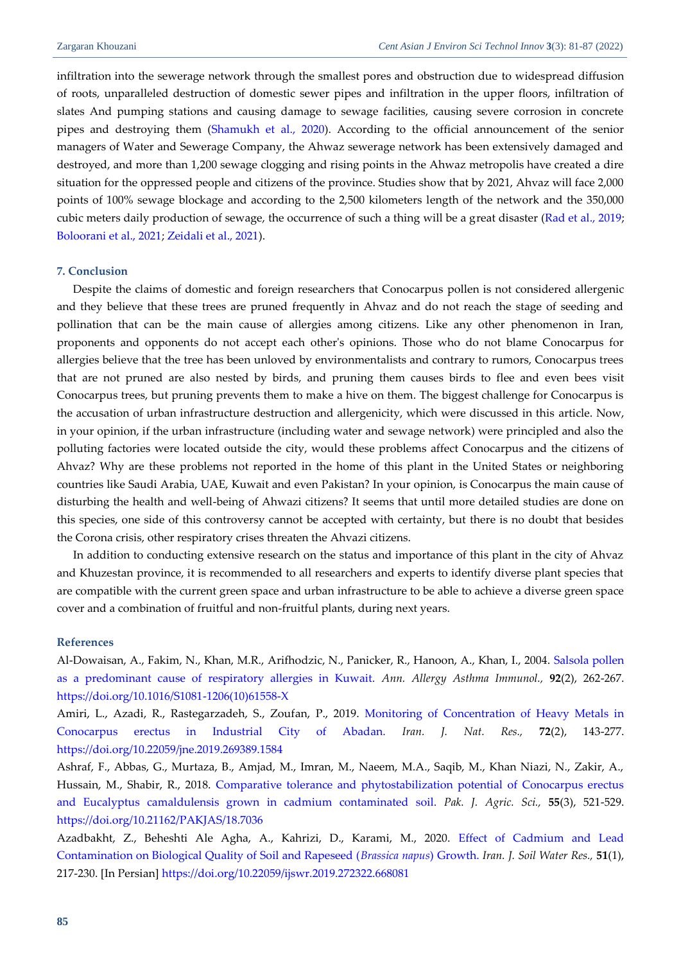infiltration into the sewerage network through the smallest pores and obstruction due to widespread diffusion of roots, unparalleled destruction of domestic sewer pipes and infiltration in the upper floors, infiltration of slates And pumping stations and causing damage to sewage facilities, causing severe corrosion in concrete pipes and destroying them [\(Shamukh et al., 2020\)](#page-6-4). According to the official announcement of the senior managers of Water and Sewerage Company, the Ahwaz sewerage network has been extensively damaged and destroyed, and more than 1,200 sewage clogging and rising points in the Ahwaz metropolis have created a dire situation for the oppressed people and citizens of the province. Studies show that by 2021, Ahvaz will face 2,000 points of 100% sewage blockage and according to the 2,500 kilometers length of the network and the 350,000 cubic meters daily production of sewage, the occurrence of such a thing will be a great disaster [\(Rad et al., 2019;](#page-5-5) [Boloorani et al., 2021;](#page-5-3) [Zeidali et al., 2021\)](#page-6-5).

# **7. Conclusion**

Despite the claims of domestic and foreign researchers that Conocarpus pollen is not considered allergenic and they believe that these trees are pruned frequently in Ahvaz and do not reach the stage of seeding and pollination that can be the main cause of allergies among citizens. Like any other phenomenon in Iran, proponents and opponents do not accept each other's opinions. Those who do not blame Conocarpus for allergies believe that the tree has been unloved by environmentalists and contrary to rumors, Conocarpus trees that are not pruned are also nested by birds, and pruning them causes birds to flee and even bees visit Conocarpus trees, but pruning prevents them to make a hive on them. The biggest challenge for Conocarpus is the accusation of urban infrastructure destruction and allergenicity, which were discussed in this article. Now, in your opinion, if the urban infrastructure (including water and sewage network) were principled and also the polluting factories were located outside the city, would these problems affect Conocarpus and the citizens of Ahvaz? Why are these problems not reported in the home of this plant in the United States or neighboring countries like Saudi Arabia, UAE, Kuwait and even Pakistan? In your opinion, is Conocarpus the main cause of disturbing the health and well-being of Ahwazi citizens? It seems that until more detailed studies are done on this species, one side of this controversy cannot be accepted with certainty, but there is no doubt that besides the Corona crisis, other respiratory crises threaten the Ahvazi citizens.

In addition to conducting extensive research on the status and importance of this plant in the city of Ahvaz and Khuzestan province, it is recommended to all researchers and experts to identify diverse plant species that are compatible with the current green space and urban infrastructure to be able to achieve a diverse green space cover and a combination of fruitful and non-fruitful plants, during next years.

# **References**

<span id="page-4-2"></span>Al-Dowaisan, A., Fakim, N., Khan, M.R., Arifhodzic, N., Panicker, R., Hanoon, A., Khan, I., 2004. [Salsola pollen](https://d1wqtxts1xzle7.cloudfront.net/49837404/S1081-1206_2810_2961558-X20161024-11152-fzqoym.pdf?1477327260=&response-content-disposition=inline%3B+filename%3DSalsola_pollen_as_a_predominant_cause_of.pdf&Expires=1643368906&Signature=PN6Jplh5YrEIFAetvxuCKM05220uLAEGyIHTsQSlJ-245RV0qb4bNdPeuo6emTBC8W-fuAdCQFqNYvzYiwR5O1J8dxX0rSG1B2CWg55FbRep7kVB~YA-EqVLhU3BDhum37TYeh46bvNMJPm~4Hor5OdTgVWlv6WvVNEsObEjvKaBXHY9BJXp1lkOuENkk~Yl3P-AlEMS7Hmqc0aW-lPrBHsFWjPTsKszJcdWsSV9~XJPASe-pEVBALoZT8To1Zm2M4RqFMi1ILb~CWxWgUdJVdDH5aJjc~VLgZ2dw~RTUyKdE~8SnGbzH6LMbbfrj-kCD0Zmeg1vetAzfO79sTxssg__&Key-Pair-Id=APKAJLOHF5GGSLRBV4ZA)  [as a predominant cause of respiratory allergies in Kuwait.](https://d1wqtxts1xzle7.cloudfront.net/49837404/S1081-1206_2810_2961558-X20161024-11152-fzqoym.pdf?1477327260=&response-content-disposition=inline%3B+filename%3DSalsola_pollen_as_a_predominant_cause_of.pdf&Expires=1643368906&Signature=PN6Jplh5YrEIFAetvxuCKM05220uLAEGyIHTsQSlJ-245RV0qb4bNdPeuo6emTBC8W-fuAdCQFqNYvzYiwR5O1J8dxX0rSG1B2CWg55FbRep7kVB~YA-EqVLhU3BDhum37TYeh46bvNMJPm~4Hor5OdTgVWlv6WvVNEsObEjvKaBXHY9BJXp1lkOuENkk~Yl3P-AlEMS7Hmqc0aW-lPrBHsFWjPTsKszJcdWsSV9~XJPASe-pEVBALoZT8To1Zm2M4RqFMi1ILb~CWxWgUdJVdDH5aJjc~VLgZ2dw~RTUyKdE~8SnGbzH6LMbbfrj-kCD0Zmeg1vetAzfO79sTxssg__&Key-Pair-Id=APKAJLOHF5GGSLRBV4ZA) *Ann. Allergy Asthma Immunol.,* **92**(2), 262-267. [https://doi.org/10.1016/S1081-1206\(10\)61558-X](https://doi.org/10.1016/S1081-1206(10)61558-X)

<span id="page-4-1"></span>Amiri, L., Azadi, R., Rastegarzadeh, S., Zoufan, P., 2019. Monitoring of Concentration of Heavy Metals in [Conocarpus erectus in Industrial City of Abadan.](https://jne.ut.ac.ir/mobile/article_71583_b4b950de353a3d08c6899696320fbead.pdf?lang=en) *Iran. J. Nat. Res.,* **72**(2), 143-277. <https://doi.org/10.22059/jne.2019.269389.1584>

<span id="page-4-0"></span>Ashraf, F., Abbas, G., Murtaza, B., Amjad, M., Imran, M., Naeem, M.A., Saqib, M., Khan Niazi, N., Zakir, A., Hussain, M., Shabir, R., 2018. [Comparative tolerance and phytostabilization potential of Conocarpus erectus](https://pakjas.com.pk/papers/2857.pdf)  [and Eucalyptus camaldulensis grown in cadmium contaminated soil.](https://pakjas.com.pk/papers/2857.pdf) *Pak. J. Agric. Sci.,* **55**(3), 521-529. <https://doi.org/10.21162/PAKJAS/18.7036>

Azadbakht, Z., Beheshti Ale Agha, A., Kahrizi, D., Karami, M., 2020. [Effect of Cadmium and Lead](https://ijswr.ut.ac.ir/article_72605_c76efd08c37b3105eb38ed1ff1a13522.pdf?lang=en)  [Contamination on Biological Quality of Soil and Rapeseed \(](https://ijswr.ut.ac.ir/article_72605_c76efd08c37b3105eb38ed1ff1a13522.pdf?lang=en)*Brassica napus*) Growth. *Iran. J. Soil Water Res.,* **51**(1), 217-230. [In Persian] <https://doi.org/10.22059/ijswr.2019.272322.668081>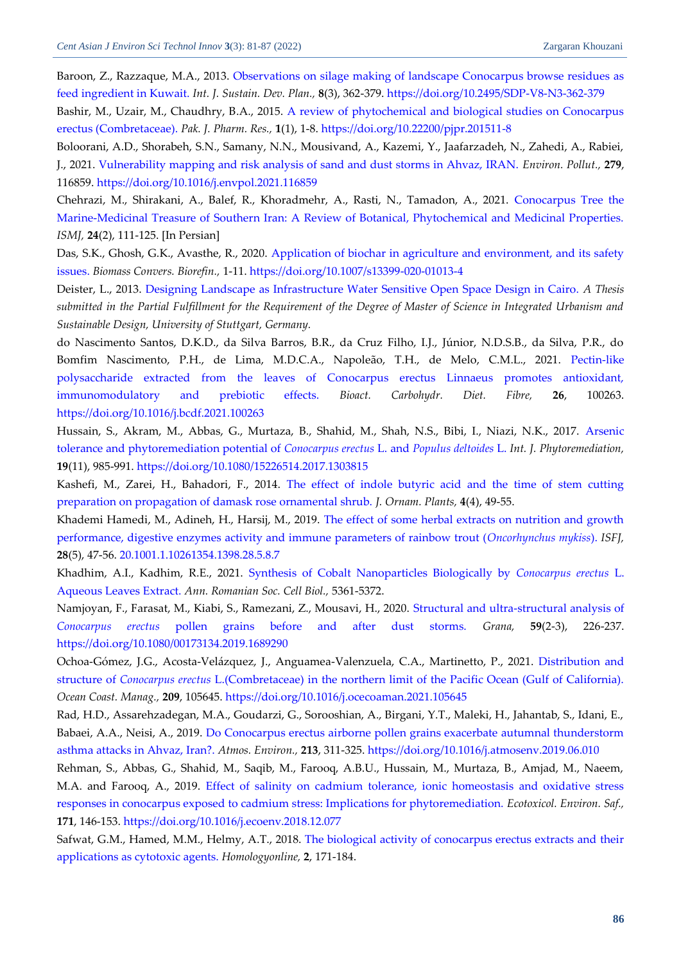<span id="page-5-10"></span>Baroon, Z., Razzaque, M.A., 2013. Observations on silage [making of landscape Conocarpus browse residues as](https://www.witpress.com/Secure/ejournals/papers/SDP080307f.pdf)  [feed ingredient in Kuwait.](https://www.witpress.com/Secure/ejournals/papers/SDP080307f.pdf) *Int. J. Sustain. Dev. Plan.,* **8**(3), 362-379. <https://doi.org/10.2495/SDP-V8-N3-362-379>

<span id="page-5-9"></span>Bashir, M., Uzair, M., Chaudhry, B.A., 2015. [A review of phytochemical and biological studies on Conocarpus](https://web.archive.org/web/20170922235813id_/http:/pjpr.net/index.php/pjpr/article/viewFile/10/5)  [erectus \(Combretaceae\).](https://web.archive.org/web/20170922235813id_/http:/pjpr.net/index.php/pjpr/article/viewFile/10/5) *Pak. J. Pharm. Res.,* **1**(1), 1-8. <https://doi.org/10.22200/pjpr.201511-8>

<span id="page-5-3"></span>Boloorani, A.D., Shorabeh, S.N., Samany, N.N., Mousivand, A., Kazemi, Y., Jaafarzadeh, N., Zahedi, A., Rabiei, J., 2021. [Vulnerability mapping and risk analysis of sand and dust storms in Ahvaz, IRAN.](https://freepaper.me/leecher/pdf/10.1016/j.envpol.2021.116859) *Environ. Pollut.,* **279**, 116859. <https://doi.org/10.1016/j.envpol.2021.116859>

<span id="page-5-4"></span>Chehrazi, M., Shirakani, A., Balef, R., Khoradmehr, A., Rasti, N., Tamadon, A., 2021. [Conocarpus Tree the](https://ismj.bpums.ac.ir/article-1-1439-en.pdf)  [Marine-Medicinal Treasure of Southern Iran: A Review of Botanical, Phytochemical and Medicinal Properties.](https://ismj.bpums.ac.ir/article-1-1439-en.pdf) *ISMJ,* **24**(2), 111-125. [In Persian]

<span id="page-5-12"></span>Das, S.K., Ghosh, G.K., Avasthe, R., 2020. Application of biochar [in agriculture and environment, and its safety](https://link.springer.com/content/pdf/10.1007/s13399-020-01013-4.pdf)  [issues.](https://link.springer.com/content/pdf/10.1007/s13399-020-01013-4.pdf) *Biomass Convers. Biorefin.,* 1-11. <https://doi.org/10.1007/s13399-020-01013-4>

<span id="page-5-14"></span>Deister, L., 2013. [Designing Landscape as Infrastructure Water Sensitive Open Space Design in Cairo.](https://iusd.asu.edu.eg/wp-content/uploads/2015/11/1stInt_Deister.pdf) *A Thesis submitted in the Partial Fulfillment for the Requirement of the Degree of Master of Science in Integrated Urbanism and Sustainable Design, University of Stuttgart, Germany.*

<span id="page-5-1"></span>do Nascimento Santos, D.K.D., da Silva Barros, B.R., da Cruz Filho, I.J., Júnior, N.D.S.B., da Silva, P.R., do Bomfim Nascimento, P.H., de Lima, M.D.C.A., Napoleão, T.H., de Melo, C.M.L., 2021. [Pectin-like](https://freepaper.me/d/PDF/60/6080c69c9e258cc1e7bebb8d31ea0efd.pdf?hash=neQY7ku1lYyMBA5Y1jCVDQ&doi=10.1016/j.bcdf.2021.100263&title=&save=1%20%20%20%20%20%20%20%20%20%20%20%20%20%20%20%20style=)  [polysaccharide extracted from the leaves of Conocarpus erectus Linnaeus promotes antioxidant,](https://freepaper.me/d/PDF/60/6080c69c9e258cc1e7bebb8d31ea0efd.pdf?hash=neQY7ku1lYyMBA5Y1jCVDQ&doi=10.1016/j.bcdf.2021.100263&title=&save=1%20%20%20%20%20%20%20%20%20%20%20%20%20%20%20%20style=)  [immunomodulatory and prebiotic effects.](https://freepaper.me/d/PDF/60/6080c69c9e258cc1e7bebb8d31ea0efd.pdf?hash=neQY7ku1lYyMBA5Y1jCVDQ&doi=10.1016/j.bcdf.2021.100263&title=&save=1%20%20%20%20%20%20%20%20%20%20%20%20%20%20%20%20style=) *Bioact. Carbohydr. Diet. Fibre,* **26**, 100263. <https://doi.org/10.1016/j.bcdf.2021.100263>

<span id="page-5-6"></span>Hussain, S., Akram, M., Abbas, G., Murtaza, B., Shahid, M., Shah, N.S., Bibi, I., Niazi, N.K., 2017. [Arsenic](https://freepaper.me/d/PDF/87/87743deaccd84107ec57b2c400e7aaea.pdf?hash=YkvIVYOcFFypXS3WPAyhaA&doi=10.1080/15226514.2017.1303815&title=&save=1%20%20%20%20%20%20%20%20%20%20%20%20%20%20%20%20style=)  [tolerance and phytoremediation potential of](https://freepaper.me/d/PDF/87/87743deaccd84107ec57b2c400e7aaea.pdf?hash=YkvIVYOcFFypXS3WPAyhaA&doi=10.1080/15226514.2017.1303815&title=&save=1%20%20%20%20%20%20%20%20%20%20%20%20%20%20%20%20style=) *Conocarpus erectus* L. and *Populus deltoides* L. *Int. J. Phytoremediation,* **19**(11), 985-991. <https://doi.org/10.1080/15226514.2017.1303815>

<span id="page-5-15"></span>Kashefi, M., Zarei, H., Bahadori, F., 2014. [The effect of indole butyric acid and the time of stem cutting](https://webzoom.freewebs.com/jornamental/vol4(4)/JOPDecember2014P237-FullText.pdf)  [preparation on propagation of damask rose ornamental shrub.](https://webzoom.freewebs.com/jornamental/vol4(4)/JOPDecember2014P237-FullText.pdf) *J. Ornam. Plants,* **4**(4), 49-55.

<span id="page-5-11"></span>Khademi Hamedi, M., Adineh, H., Harsij, M., 2019. [The effect of some herbal extracts on nutrition and growth](http://isfj.ir/files/site1/user_files_eb12be/m_khademi-A-10-2194-1-df71eb5.pdf)  [performance, digestive enzymes activity and immune parameters of rainbow trout \(](http://isfj.ir/files/site1/user_files_eb12be/m_khademi-A-10-2194-1-df71eb5.pdf)*Oncorhynchus mykiss*). *ISFJ,* **28**(5), 47-56. [20.1001.1.10261354.1398.28.5.8.7](http://dorl.net/dor/20.1001.1.10261354.1398.28.5.8.7) 

<span id="page-5-2"></span>Khadhim, A.I., Kadhim, R.E., 2021. [Synthesis of Cobalt Nanoparticles Biologically by](https://www.annalsofrscb.ro/index.php/journal/article/download/2041/1715) *Conocarpus erectus* L. [Aqueous Leaves Extract.](https://www.annalsofrscb.ro/index.php/journal/article/download/2041/1715) *Ann. Romanian Soc. Cell Biol.,* 5361-5372.

<span id="page-5-13"></span>Namjoyan, F., Farasat, M., Kiabi, S., Ramezani, Z., Mousavi, H., 2020. [Structural and ultra-structural analysis of](https://freepaper.me/leecher/pdf/10.1080/00173134.2019.1689290)  *Conocarpus erectus* [pollen grains before and after dust storms.](https://freepaper.me/leecher/pdf/10.1080/00173134.2019.1689290) *Grana,* **59**(2-3), 226-237. <https://doi.org/10.1080/00173134.2019.1689290>

<span id="page-5-0"></span>Ochoa-Gómez, J.G., Acosta-Velázquez, J., Anguamea-Valenzuela, C.A., Martinetto, P., 2021. [Distribution and](https://freepaper.me/d/PDF/52/526bbe415a1feb5b149ab424d4f6aea5.pdf?hash=GrswVDBK9QQvDk-uVktysg&doi=10.1016/j.ocecoaman.2021.105645&title=&save=1%20%20%20%20%20%20%20%20%20%20%20%20%20%20%20%20style=)  structure of *Conocarpus erectus* [L.\(Combretaceae\) in the northern limit of the Pacific Ocean \(Gulf of California\).](https://freepaper.me/d/PDF/52/526bbe415a1feb5b149ab424d4f6aea5.pdf?hash=GrswVDBK9QQvDk-uVktysg&doi=10.1016/j.ocecoaman.2021.105645&title=&save=1%20%20%20%20%20%20%20%20%20%20%20%20%20%20%20%20style=) *Ocean Coast. Manag.,* **209**, 105645. <https://doi.org/10.1016/j.ocecoaman.2021.105645>

<span id="page-5-5"></span>Rad, H.D., Assarehzadegan, M.A., Goudarzi, G., Sorooshian, A., Birgani, Y.T., Maleki, H., Jahantab, S., Idani, E., Babaei, A.A., Neisi, A., 2019. [Do Conocarpus erectus airborne pollen grains exacerbate autumnal thunderstorm](https://freepaper.me/leecher/pdf/10.1016/j.atmosenv.2019.06.010)  [asthma attacks in Ahvaz, Iran?.](https://freepaper.me/leecher/pdf/10.1016/j.atmosenv.2019.06.010) *Atmos. Environ.,* **213**, 311-325. <https://doi.org/10.1016/j.atmosenv.2019.06.010>

<span id="page-5-8"></span>Rehman, S., Abbas, G., Shahid, M., Saqib, M., Farooq, A.B.U., Hussain, M., Murtaza, B., Amjad, M., Naeem, M.A. and Farooq, A., 2019. [Effect of salinity on cadmium tolerance, ionic homeostasis and oxidative stress](https://freepaper.me/leecher/pdf/10.1016/j.ecoenv.2018.12.077)  [responses in conocarpus exposed to cadmium stress: Implications for phytoremediation.](https://freepaper.me/leecher/pdf/10.1016/j.ecoenv.2018.12.077) *Ecotoxicol. Environ. Saf.,* **171**, 146-153. <https://doi.org/10.1016/j.ecoenv.2018.12.077>

<span id="page-5-7"></span>Safwat, G.M., Hamed, M.M., Helmy, A.T., 2018. [The biological activity of conocarpus erectus extracts and their](https://pharmacologyonline.silae.it/files/archives/2018/vol2/PhOL_2018_2_A018_Safwat.pdf)  [applications as cytotoxic agents.](https://pharmacologyonline.silae.it/files/archives/2018/vol2/PhOL_2018_2_A018_Safwat.pdf) *Homologyonline,* **2**, 171-184.